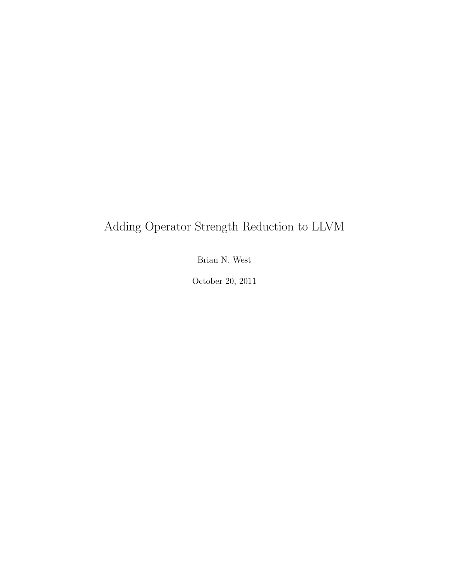### Adding Operator Strength Reduction to LLVM

Brian N. West

October 20, 2011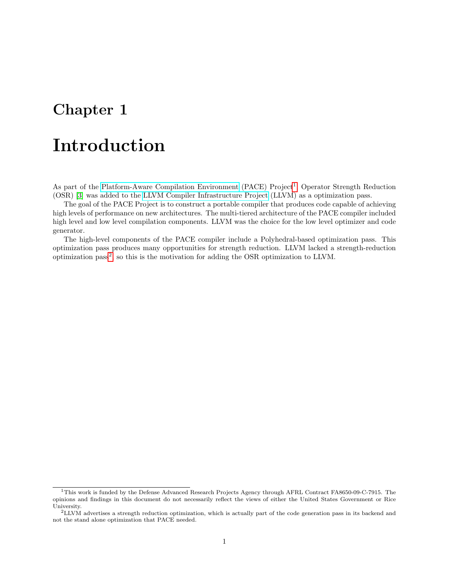# Introduction

As part of the [Platform-Aware Compilation Environment](http://pace.rice.edu/) (PACE) Project<sup>[1](#page-1-0)</sup>, Operator Strength Reduction (OSR) [\[3\]](#page-16-0) was added to the [LLVM Compiler Infrastructure Project](http://llvm.org/) (LLVM) as a optimization pass.

The goal of the PACE Project is to construct a portable compiler that produces code capable of achieving high levels of performance on new architectures. The multi-tiered architecture of the PACE compiler included high level and low level compilation components. LLVM was the choice for the low level optimizer and code generator.

The high-level components of the PACE compiler include a Polyhedral-based optimization pass. This optimization pass produces many opportunities for strength reduction. LLVM lacked a strength-reduction optimization pass<sup>[2](#page-1-1)</sup>, so this is the motivation for adding the OSR optimization to LLVM.

<span id="page-1-0"></span><sup>1</sup>This work is funded by the Defense Advanced Research Projects Agency through AFRL Contract FA8650-09-C-7915. The opinions and findings in this document do not necessarily reflect the views of either the United States Government or Rice University.

<span id="page-1-1"></span><sup>2</sup>LLVM advertises a strength reduction optimization, which is actually part of the code generation pass in its backend and not the stand alone optimization that PACE needed.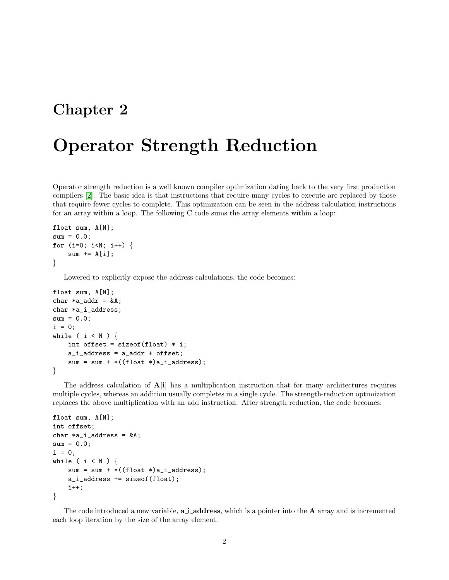# Operator Strength Reduction

Operator strength reduction is a well known compiler optimization dating back to the very first production compilers [\[2\]](#page-16-1). The basic idea is that instructions that require many cycles to execute are replaced by those that require fewer cycles to complete. This optimization can be seen in the address calculation instructions for an array within a loop. The following C code sums the array elements within a loop:

```
float sum, A[N];
sum = 0.0;
for (i=0; i<N; i++) {
    sum += A[i];
}
```
Lowered to explicitly expose the address calculations, the code becomes:

```
float sum, A[N];
char *a\_addr = kA;char *a_i_address;
sum = 0.0;
i = 0;while ( i < N ) {
    int offset = sizeof(float) * i;
    a_i<sub>a</sub>ddress = a_iaddr + offset;
    sum = sum + *((float *)a_i_ddress);}
```
The address calculation of  $\mathbf{A}[\mathbf{i}]$  has a multiplication instruction that for many architectures requires multiple cycles, whereas an addition usually completes in a single cycle. The strength-reduction optimization replaces the above multiplication with an add instruction. After strength reduction, the code becomes:

```
float sum, A[N];
int offset;
char *a_i_address = kA;sum = 0.0;
i = 0:
while ( i < N ) {
   sum = sum + *((float *)a_i_ddress);a_i_address += sizeof(float);
    i++;
}
```
The code introduced a new variable, **a i address**, which is a pointer into the **A** array and is incremented each loop iteration by the size of the array element.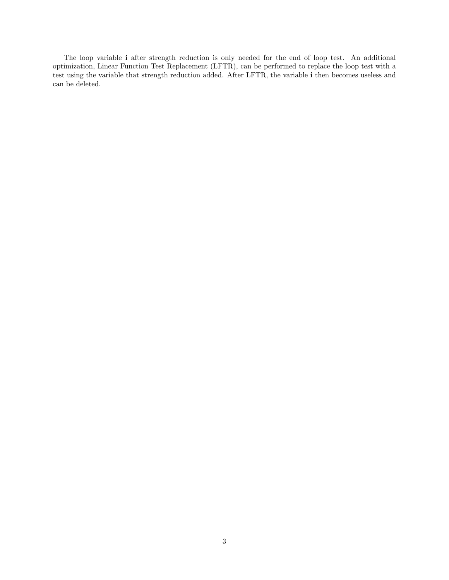The loop variable i after strength reduction is only needed for the end of loop test. An additional optimization, Linear Function Test Replacement (LFTR), can be performed to replace the loop test with a test using the variable that strength reduction added. After LFTR, the variable i then becomes useless and can be deleted.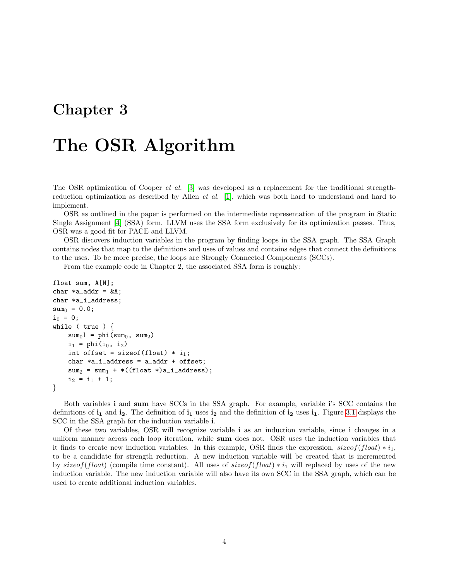### The OSR Algorithm

The OSR optimization of Cooper et al. [\[3\]](#page-16-0) was developed as a replacement for the traditional strengthreduction optimization as described by Allen et al. [\[1\]](#page-16-2), which was both hard to understand and hard to implement.

OSR as outlined in the paper is performed on the intermediate representation of the program in Static Single Assignment [\[4\]](#page-16-3) (SSA) form. LLVM uses the SSA form exclusively for its optimization passes. Thus, OSR was a good fit for PACE and LLVM.

OSR discovers induction variables in the program by finding loops in the SSA graph. The SSA Graph contains nodes that map to the definitions and uses of values and contains edges that connect the definitions to the uses. To be more precise, the loops are Strongly Connected Components (SCCs).

From the example code in Chapter 2, the associated SSA form is roughly:

```
float sum, A[N];
char *a\_addr = kA;char *a_i_address;
sum_0 = 0.0;
i_0 = 0;while ( true ) {
    sum_01 = phi(sum<sub>0</sub>, sum<sub>2</sub>)
    i_1 = phi(i_0, i_2)
    int offset = sizeof(float) * i_1;char *a_i_address = a_iaddr + offset;sum_2 = sum_1 + *((float *)a_i_dtdress);i_2 = i_1 + 1;}
```
Both variables i and sum have SCCs in the SSA graph. For example, variable i's SCC contains the definitions of  $i_1$  and  $i_2$ . The definition of  $i_1$  uses  $i_2$  and the definition of  $i_2$  uses  $i_1$ . Figure [3.1](#page-5-0) displays the SCC in the SSA graph for the induction variable i.

Of these two variables, OSR will recognize variable i as an induction variable, since i changes in a uniform manner across each loop iteration, while sum does not. OSR uses the induction variables that it finds to create new induction variables. In this example, OSR finds the expression,  $sizeof(float) * i<sub>1</sub>$ , to be a candidate for strength reduction. A new induction variable will be created that is incremented by sizeof(float) (compile time constant). All uses of sizeof(float)  $* i_1$  will replaced by uses of the new induction variable. The new induction variable will also have its own SCC in the SSA graph, which can be used to create additional induction variables.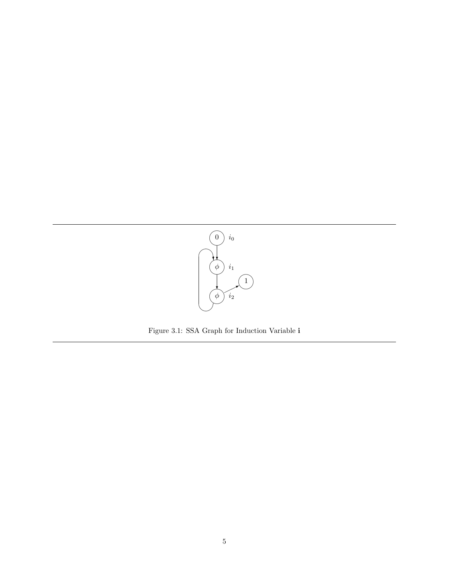<span id="page-5-0"></span>

Figure 3.1: SSA Graph for Induction Variable i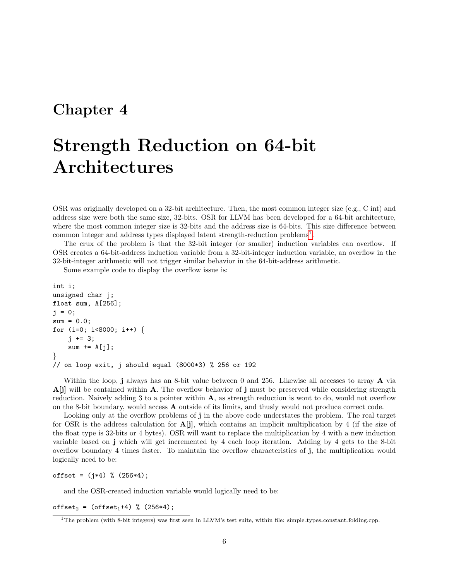# Strength Reduction on 64-bit Architectures

OSR was originally developed on a 32-bit architecture. Then, the most common integer size (e.g., C int) and address size were both the same size, 32-bits. OSR for LLVM has been developed for a 64-bit architecture, where the most common integer size is 32-bits and the address size is 64-bits. This size difference between common integer and address types displayed latent strength-reduction problems<sup>[1](#page-6-0)</sup>.

The crux of the problem is that the 32-bit integer (or smaller) induction variables can overflow. If OSR creates a 64-bit-address induction variable from a 32-bit-integer induction variable, an overflow in the 32-bit-integer arithmetic will not trigger similar behavior in the 64-bit-address arithmetic.

Some example code to display the overflow issue is:

```
int i;
unsigned char j;
float sum, A[256];
j = 0;sum = 0.0;
for (i=0; i<8000; i++) {
    j += 3;
    sum += A[j];
}
// on loop exit, j should equal (8000*3) % 256 or 192
```
Within the loop, j always has an 8-bit value between 0 and 256. Likewise all accesses to array **A** via  $\bf{A}[j]$  will be contained within  $\bf{A}$ . The overflow behavior of j must be preserved while considering strength reduction. Naively adding 3 to a pointer within A, as strength reduction is wont to do, would not overflow on the 8-bit boundary, would access A outside of its limits, and thusly would not produce correct code.

Looking only at the overflow problems of j in the above code understates the problem. The real target for OSR is the address calculation for  $\mathbf{A}[\mathbf{i}]$ , which contains an implicit multiplication by 4 (if the size of the float type is 32-bits or 4 bytes). OSR will want to replace the multiplication by 4 with a new induction variable based on j which will get incremented by 4 each loop iteration. Adding by 4 gets to the 8-bit overflow boundary 4 times faster. To maintain the overflow characteristics of j, the multiplication would logically need to be:

offset =  $(j*4)$  %  $(256*4)$ ;

and the OSR-created induction variable would logically need to be:

offset<sub>2</sub> = (offset<sub>1</sub>+4) % (256\*4);

<span id="page-6-0"></span> $1$ The problem (with 8-bit integers) was first seen in LLVM's test suite, within file: simple types constant folding.cpp.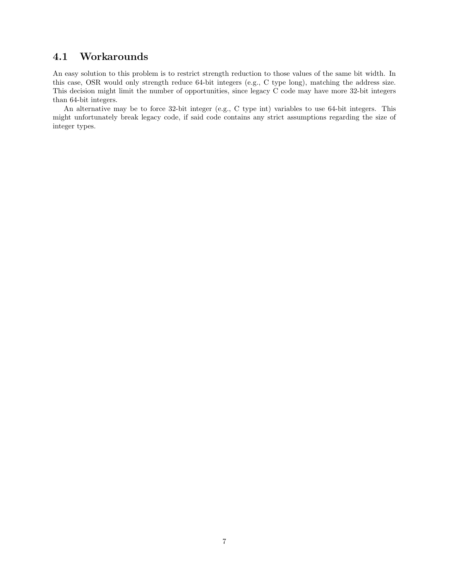#### 4.1 Workarounds

An easy solution to this problem is to restrict strength reduction to those values of the same bit width. In this case, OSR would only strength reduce 64-bit integers (e.g., C type long), matching the address size. This decision might limit the number of opportunities, since legacy C code may have more 32-bit integers than 64-bit integers.

An alternative may be to force 32-bit integer (e.g., C type int) variables to use 64-bit integers. This might unfortunately break legacy code, if said code contains any strict assumptions regarding the size of integer types.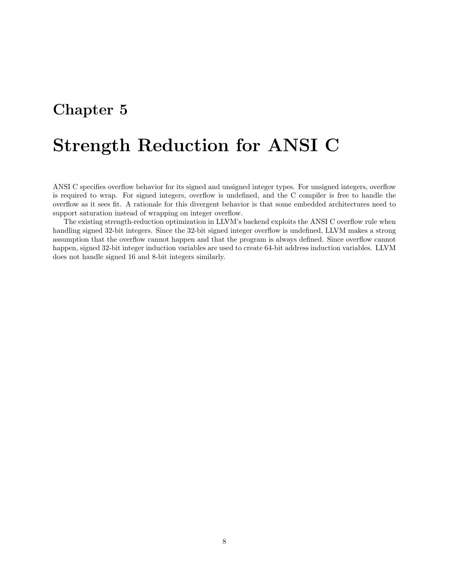# Strength Reduction for ANSI C

ANSI C specifies overflow behavior for its signed and unsigned integer types. For unsigned integers, overflow is required to wrap. For signed integers, overflow is undefined, and the C compiler is free to handle the overflow as it sees fit. A rationale for this divergent behavior is that some embedded architectures need to support saturation instead of wrapping on integer overflow.

The existing strength-reduction optimization in LLVM's backend exploits the ANSI C overflow rule when handling signed 32-bit integers. Since the 32-bit signed integer overflow is undefined, LLVM makes a strong assumption that the overflow cannot happen and that the program is always defined. Since overflow cannot happen, signed 32-bit integer induction variables are used to create 64-bit address induction variables. LLVM does not handle signed 16 and 8-bit integers similarly.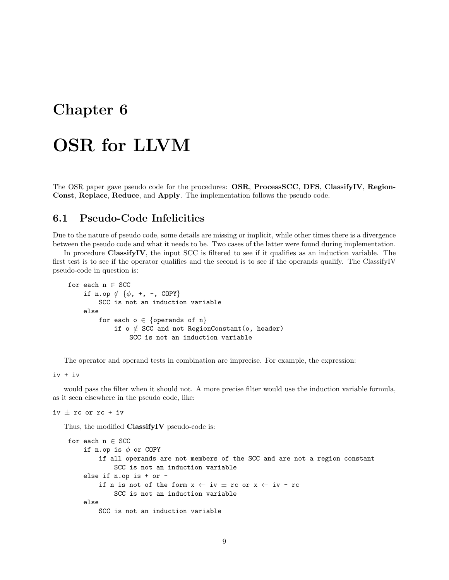# Chapter 6 OSR for LLVM

The OSR paper gave pseudo code for the procedures: OSR, ProcessSCC, DFS, ClassifyIV, Region-Const, Replace, Reduce, and Apply. The implementation follows the pseudo code.

#### 6.1 Pseudo-Code Infelicities

Due to the nature of pseudo code, some details are missing or implicit, while other times there is a divergence between the pseudo code and what it needs to be. Two cases of the latter were found during implementation.

In procedure ClassifyIV, the input SCC is filtered to see if it qualifies as an induction variable. The first test is to see if the operator qualifies and the second is to see if the operands qualify. The ClassifyIV pseudo-code in question is:

```
for each n \in SCC
    if n.op \notin \{\phi, +, -, \text{ COPY}\}\SCC is not an induction variable
    else
         for each o \in \{operands of n\}if o \notin SCC and not RegionConstant(o, header)
                  SCC is not an induction variable
```
The operator and operand tests in combination are imprecise. For example, the expression:

iv + iv

would pass the filter when it should not. A more precise filter would use the induction variable formula, as it seen elsewhere in the pseudo code, like:

iv  $\pm$  rc or rc + iv

Thus, the modified ClassifyIV pseudo-code is:

```
for each n \in SCC
    if n.op is \phi or COPY
        if all operands are not members of the SCC and are not a region constant
             SCC is not an induction variable
    else if n.op is + or -
        if n is not of the form x \leftarrow iv \pm rc or x \leftarrow iv - rcSCC is not an induction variable
    else
        SCC is not an induction variable
```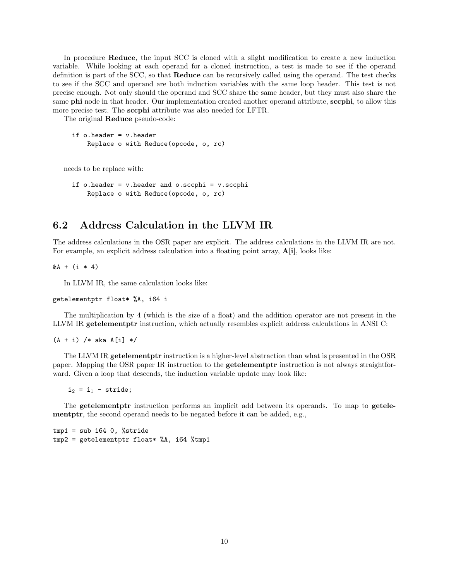In procedure **Reduce**, the input SCC is cloned with a slight modification to create a new induction variable. While looking at each operand for a cloned instruction, a test is made to see if the operand definition is part of the SCC, so that Reduce can be recursively called using the operand. The test checks to see if the SCC and operand are both induction variables with the same loop header. This test is not precise enough. Not only should the operand and SCC share the same header, but they must also share the same phi node in that header. Our implementation created another operand attribute, sccphi, to allow this more precise test. The sccphi attribute was also needed for LFTR.

The original Reduce pseudo-code:

```
if o.header = v.header
    Replace o with Reduce(opcode, o, rc)
```
needs to be replace with:

```
if o.header = v.header and o.sccphi = v.sccphi
    Replace o with Reduce(opcode, o, rc)
```
#### 6.2 Address Calculation in the LLVM IR

The address calculations in the OSR paper are explicit. The address calculations in the LLVM IR are not. For example, an explicit address calculation into a floating point array,  $\mathbf{A}[\mathbf{i}]$ , looks like:

 $&A + (i * 4)$ 

In LLVM IR, the same calculation looks like:

getelementptr float\* %A, i64 i

The multiplication by 4 (which is the size of a float) and the addition operator are not present in the LLVM IR getelementptr instruction, which actually resembles explicit address calculations in ANSI C:

 $(A + i)$  /\* aka A[i] \*/

The LLVM IR getelementptr instruction is a higher-level abstraction than what is presented in the OSR paper. Mapping the OSR paper IR instruction to the getelementptr instruction is not always straightforward. Given a loop that descends, the induction variable update may look like:

 $i_2 = i_1 -$  stride;

The getelementptr instruction performs an implicit add between its operands. To map to getelementptr, the second operand needs to be negated before it can be added, e.g.,

 $tmp1 = sub i64 0, %stride$  $tmp2 = getelementptr float* %A, i64 %tmp1$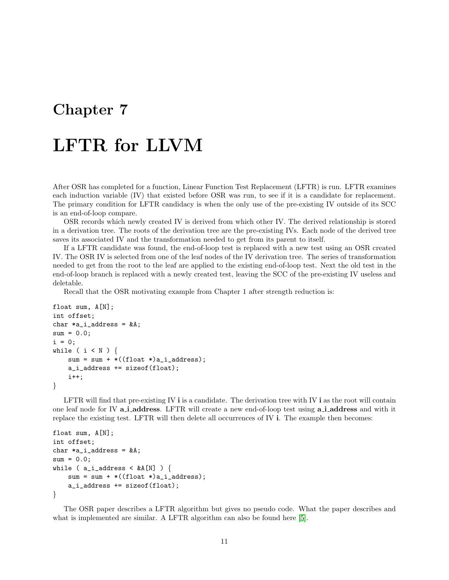# LFTR for LLVM

After OSR has completed for a function, Linear Function Test Replacement (LFTR) is run. LFTR examines each induction variable (IV) that existed before OSR was run, to see if it is a candidate for replacement. The primary condition for LFTR candidacy is when the only use of the pre-existing IV outside of its SCC is an end-of-loop compare.

OSR records which newly created IV is derived from which other IV. The derived relationship is stored in a derivation tree. The roots of the derivation tree are the pre-existing IVs. Each node of the derived tree saves its associated IV and the transformation needed to get from its parent to itself.

If a LFTR candidate was found, the end-of-loop test is replaced with a new test using an OSR created IV. The OSR IV is selected from one of the leaf nodes of the IV derivation tree. The series of transformation needed to get from the root to the leaf are applied to the existing end-of-loop test. Next the old test in the end-of-loop branch is replaced with a newly created test, leaving the SCC of the pre-existing IV useless and deletable.

Recall that the OSR motivating example from Chapter 1 after strength reduction is:

```
float sum, A[N];
int offset;
char *a_i_address = kA;
sum = 0.0;
i = 0;while ( i < N ) {
   sum = sum + *((float *)a_i_ddress);a_i_address += sizeof(float);
    i++;
}
```
LFTR will find that pre-existing IV  $\mathbf i$  is a candidate. The derivation tree with IV  $\mathbf i$  as the root will contain one leaf node for IV a i address. LFTR will create a new end-of-loop test using a i address and with it replace the existing test. LFTR will then delete all occurrences of IV i. The example then becomes:

```
float sum, A[N];
int offset;
char *a_i address = kA;
sum = 0.0;
while ( a_i_iddress < \&A[N] ) {
   sum = sum + *((float *)a_i_d) + ...a_i_address += sizeof(float);
}
```
The OSR paper describes a LFTR algorithm but gives no pseudo code. What the paper describes and what is implemented are similar. A LFTR algorithm can also be found here [\[5\]](#page-16-4).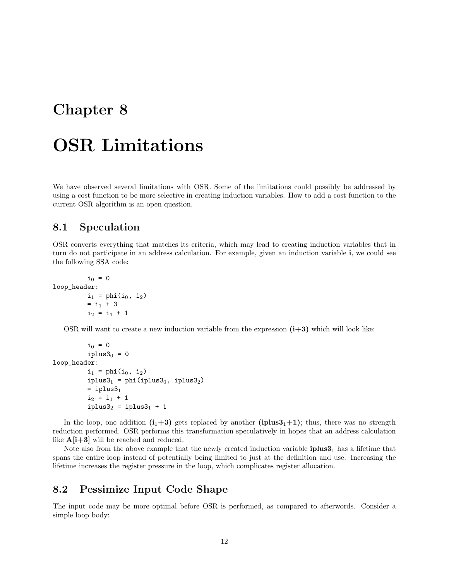### OSR Limitations

We have observed several limitations with OSR. Some of the limitations could possibly be addressed by using a cost function to be more selective in creating induction variables. How to add a cost function to the current OSR algorithm is an open question.

#### 8.1 Speculation

OSR converts everything that matches its criteria, which may lead to creating induction variables that in turn do not participate in an address calculation. For example, given an induction variable i, we could see the following SSA code:

```
i_0 = 0loop_header:
          i_1 = phi(i_0, i_2)
          = i_1 + 3i_2 = i_1 + 1
```
OSR will want to create a new induction variable from the expression  $(i+3)$  which will look like:

```
i_0 = 0iplus3<sub>0</sub> = 0loop_header:
               i_1 = phi(i_0, i_2)
               iplus3<sub>1</sub> = phi(iplus3<sub>0</sub>, iplus3<sub>2</sub>)= iplus3<sub>1</sub>
               i_2 = i_1 + 1iplus3<sub>2</sub> = iplus3<sub>1</sub> + 1
```
In the loop, one addition  $(i_1+3)$  gets replaced by another (iplus  $3_1+1$ ); thus, there was no strength reduction performed. OSR performs this transformation speculatively in hopes that an address calculation like  $A[i+3]$  will be reached and reduced.

Note also from the above example that the newly created induction variable  $\text{iplus3}_1$  has a lifetime that spans the entire loop instead of potentially being limited to just at the definition and use. Increasing the lifetime increases the register pressure in the loop, which complicates register allocation.

#### 8.2 Pessimize Input Code Shape

The input code may be more optimal before OSR is performed, as compared to afterwords. Consider a simple loop body: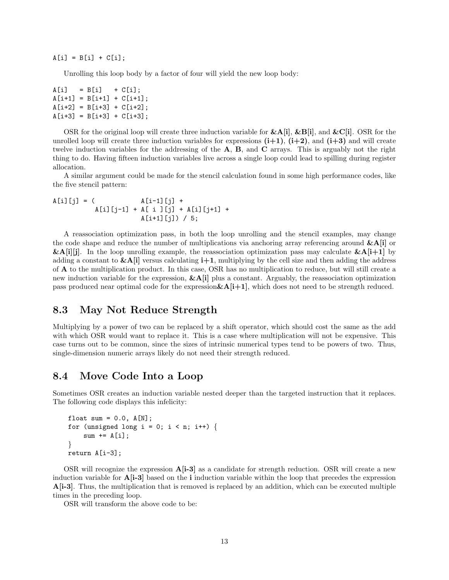$A[i] = B[i] + C[i];$ 

Unrolling this loop body by a factor of four will yield the new loop body:

 $A[i] = B[i] + C[i];$  $A[i+1] = B[i+1] + C[i+1];$  $A[i+2] = B[i+3] + C[i+2];$  $A[i+3] = B[i+3] + C[i+3];$ 

OSR for the original loop will create three induction variable for  $\&\text{A[i]}, \&\text{B[i]},$  and  $\&\text{C[i]}$ . OSR for the unrolled loop will create three induction variables for expressions  $(i+1)$ ,  $(i+2)$ , and  $(i+3)$  and will create twelve induction variables for the addressing of the  $A$ ,  $B$ , and  $C$  arrays. This is arguably not the right thing to do. Having fifteen induction variables live across a single loop could lead to spilling during register allocation.

A similar argument could be made for the stencil calculation found in some high performance codes, like the five stencil pattern:

 $A[i][j] = ($   $A[i-1][j] +$ A[i][j-1] + A[ i ][j] + A[i][j+1] +  $A[i+1][j]$  / 5;

A reassociation optimization pass, in both the loop unrolling and the stencil examples, may change the code shape and reduce the number of multiplications via anchoring array referencing around  $\&\text{A}[i]$  or  $\&\text{A[i][j]}$ . In the loop unrolling example, the reassociation optimization pass may calculate  $\&\text{A[i+1]}$  by adding a constant to  $\&\mathbf{A}[\mathbf{i}]$  versus calculating  $\mathbf{i}+1$ , multiplying by the cell size and then adding the address of A to the multiplication product. In this case, OSR has no multiplication to reduce, but will still create a new induction variable for the expression,  $\&\text{A[i]}$  plus a constant. Arguably, the reassociation optimization pass produced near optimal code for the expression  $\&\text{A}[i+1]$ , which does not need to be strength reduced.

#### 8.3 May Not Reduce Strength

Multiplying by a power of two can be replaced by a shift operator, which should cost the same as the add with which OSR would want to replace it. This is a case where multiplication will not be expensive. This case turns out to be common, since the sizes of intrinsic numerical types tend to be powers of two. Thus, single-dimension numeric arrays likely do not need their strength reduced.

#### 8.4 Move Code Into a Loop

Sometimes OSR creates an induction variable nested deeper than the targeted instruction that it replaces. The following code displays this infelicity:

```
float sum = 0.0, A[N];
for (unsigned long i = 0; i < n; i++) {
    sum += A[i];
}
return A[i-3];
```
OSR will recognize the expression  $\mathbf{A}[\mathbf{i}\text{-}3]$  as a candidate for strength reduction. OSR will create a new induction variable for A[i-3] based on the i induction variable within the loop that precedes the expression A[i-3]. Thus, the multiplication that is removed is replaced by an addition, which can be executed multiple times in the preceding loop.

OSR will transform the above code to be: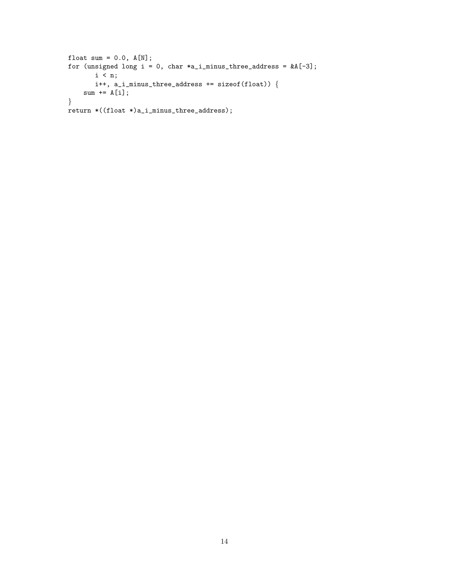```
float sum = 0.0, A[N];
for (unsigned long i = 0, char *a_i_minus_three_address = &A[-3];
       i < n;
       i<sup>++</sup>, a_i_minus_three_address += sizeof(float)) {
    sum += A[i];
}
return *((float *)a_i_minus_three_address);
```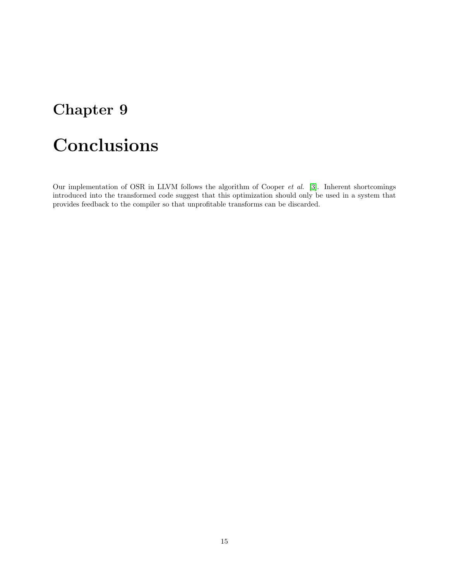# Conclusions

Our implementation of OSR in LLVM follows the algorithm of Cooper et al. [\[3\]](#page-16-0). Inherent shortcomings introduced into the transformed code suggest that this optimization should only be used in a system that provides feedback to the compiler so that unprofitable transforms can be discarded.